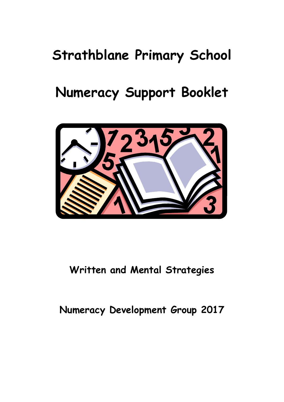# **Strathblane Primary School**

# **Numeracy Support Booklet**



**Written and Mental Strategies**

# **Numeracy Development Group 2017**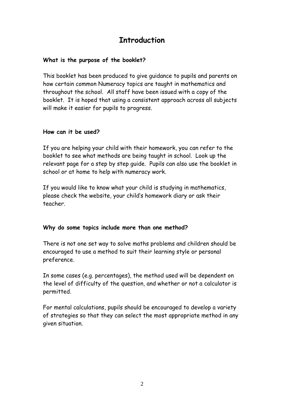### **Introduction**

### **What is the purpose of the booklet?**

This booklet has been produced to give guidance to pupils and parents on how certain common Numeracy topics are taught in mathematics and throughout the school. All staff have been issued with a copy of the booklet. It is hoped that using a consistent approach across all subjects will make it easier for pupils to progress.

#### **How can it be used?**

If you are helping your child with their homework, you can refer to the booklet to see what methods are being taught in school. Look up the relevant page for a step by step guide. Pupils can also use the booklet in school or at home to help with numeracy work.

If you would like to know what your child is studying in mathematics, please check the website, your child's homework diary or ask their teacher.

#### **Why do some topics include more than one method?**

There is not one set way to solve maths problems and children should be encouraged to use a method to suit their learning style or personal preference.

In some cases (e.g. percentages), the method used will be dependent on the level of difficulty of the question, and whether or not a calculator is permitted.

For mental calculations, pupils should be encouraged to develop a variety of strategies so that they can select the most appropriate method in any given situation.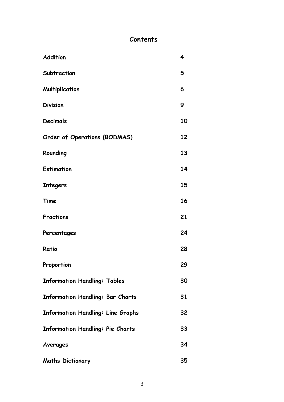### **Contents**

| Addition                                 | 4  |
|------------------------------------------|----|
| Subtraction                              | 5  |
| Multiplication                           | 6  |
| <b>Division</b>                          | 9  |
| <b>Decimals</b>                          | 10 |
| Order of Operations (BODMAS)             | 12 |
| Rounding                                 | 13 |
| <b>Estimation</b>                        | 14 |
| <b>Integers</b>                          | 15 |
| Time                                     | 16 |
| <b>Fractions</b>                         | 21 |
| Percentages                              | 24 |
| Ratio                                    | 28 |
| Proportion                               | 29 |
| <b>Information Handling: Tables</b>      | 30 |
| Information Handling: Bar Charts         | 31 |
| <b>Information Handling: Line Graphs</b> | 32 |
| <b>Information Handling: Pie Charts</b>  | 33 |
| Averages                                 | 34 |
| <b>Maths Dictionary</b>                  | 35 |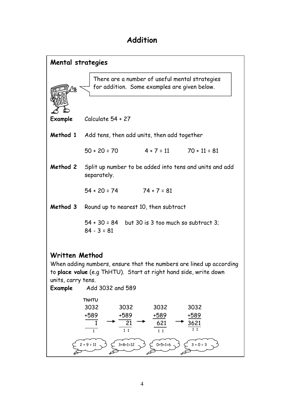# **Addition**

| <b>Mental strategies</b>                        |                                                                                                                                                                                                                             |
|-------------------------------------------------|-----------------------------------------------------------------------------------------------------------------------------------------------------------------------------------------------------------------------------|
|                                                 | There are a number of useful mental strategies<br>for addition. Some examples are given below.                                                                                                                              |
| Example                                         | Calculate $54 + 27$                                                                                                                                                                                                         |
|                                                 | Method 1 Add tens, then add units, then add together                                                                                                                                                                        |
|                                                 | $50 + 20 = 70$ $4 + 7 = 11$ $70 + 11 = 81$                                                                                                                                                                                  |
|                                                 | Method 2 Split up number to be added into tens and units and add<br>separately.                                                                                                                                             |
|                                                 | $54 + 20 = 74$ 74 + 7 = 81                                                                                                                                                                                                  |
|                                                 | Method 3 Round up to nearest 10, then subtract                                                                                                                                                                              |
|                                                 | $54 + 30 = 84$ but 30 is 3 too much so subtract 3:<br>$84 - 3 = 81$                                                                                                                                                         |
| Written Method<br>units, carry tens.<br>Example | When adding numbers, ensure that the numbers are lined up according<br>to place value (e.g ThHTU). Start at right hand side, write down<br>Add 3032 and 589                                                                 |
|                                                 | ThHTU<br>3032<br>3032<br>3032<br>3032<br>+589<br>+589<br>+589<br>+589<br>21<br>$\mathbf{1}$<br>621<br>3621<br>$1\quad1$<br>$1\quad1$<br>$\mathbf{1}$<br>$1\quad1$<br>$0+5+1=6$<br>$3+8+1=12$<br>$3 + 0 = 3$<br>$2 + 9 = 11$ |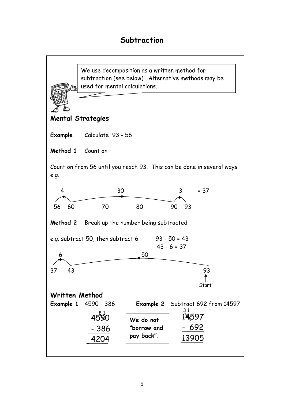### **Subtraction**

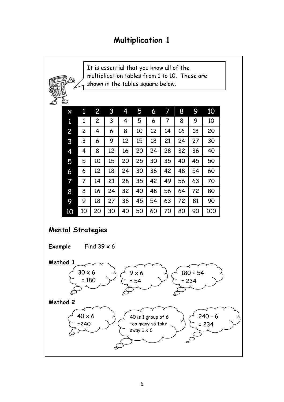# **Multiplication 1**

It is essential that you know all of the multiplication tables from 1 to 10. These are shown in the tables square below.

| X  | 1              | 2  | 3  | 4  | 5  | 6  | 7  | 8  | 9  | 10  |
|----|----------------|----|----|----|----|----|----|----|----|-----|
| 1  | 1              | 2  | 3  | 4  | 5  | 6  | 7  | 8  | 9  | 10  |
| 2  | $\overline{c}$ | 4  | 6  | 8  | 10 | 12 | 14 | 16 | 18 | 20  |
| 3  | 3              | 6  | 9  | 12 | 15 | 18 | 21 | 24 | 27 | 30  |
| 4  | 4              | 8  | 12 | 16 | 20 | 24 | 28 | 32 | 36 | 40  |
| 5  | 5              | 10 | 15 | 20 | 25 | 30 | 35 | 40 | 45 | 50  |
| 6  | 6              | 12 | 18 | 24 | 30 | 36 | 42 | 48 | 54 | 60  |
| 7  | 7              | 14 | 21 | 28 | 35 | 42 | 49 | 56 | 63 | 70  |
| 8  | 8              | 16 | 24 | 32 | 40 | 48 | 56 | 64 | 72 | 80  |
| 9  | 9              | 18 | 27 | 36 | 45 | 54 | 63 | 72 | 81 | 90  |
| 10 | 10             | 20 | 30 | 40 | 50 | 60 | 70 | 80 | 90 | 100 |

### **Mental Strategies**

**Example** Find 39 x 6 **Method 1 Method 2** 30 x 6 = 180 9 x 6 = 54 180 + 54 = 234  $40 \times 6$ =240 40 is 1 group of 6 too many so take away  $1 \times 6$ 240 - 6 = 234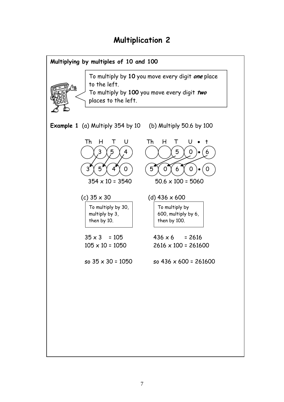# **Multiplication 2**

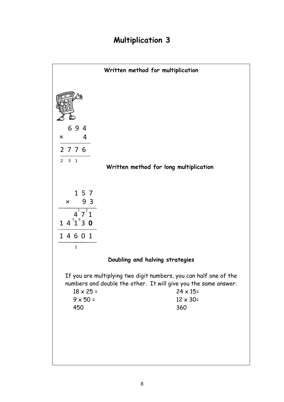# **Multiplication 3**

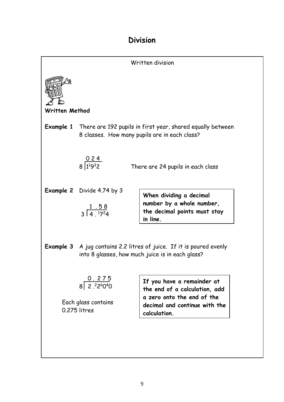### **Division**

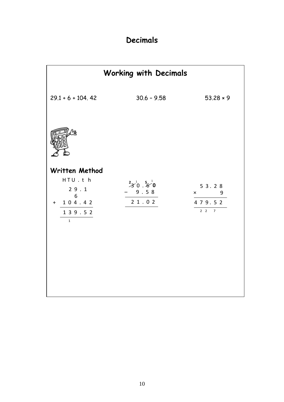# **Decimals**

|                                   | <b>Working with Decimals</b>    |                                |
|-----------------------------------|---------------------------------|--------------------------------|
| $29.1 + 6 + 104.42$               | $30.6 - 9.58$                   | $53.28 * 9$                    |
|                                   |                                 |                                |
| Written Method                    |                                 |                                |
| HTU.th<br>29.1<br>$6\overline{6}$ | $3^{2}3^{1}0.5^{1}0$<br>$-9.58$ | 5 3 . 2 8<br>9<br>$\mathsf{x}$ |
| $+ 104.42$                        | 21.02                           | 479.52                         |
| 139.52<br>$\mathbf{1}$            |                                 | $2 \quad 2 \qquad 7$           |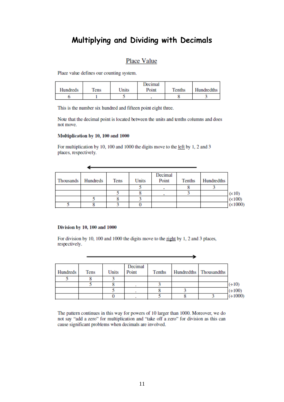### **Multiplying and Dividing with Decimals**

#### Place Value

Place value defines our counting system.

|                 |      |       | Decimal |               |            |
|-----------------|------|-------|---------|---------------|------------|
| <b>Hundreds</b> | Tens | Units | Point   | <b>Tenths</b> | Hundredths |
|                 |      |       |         |               |            |

This is the number six hundred and fifteen point eight three.

Note that the decimal point is located between the units and tenths columns and does not move.

#### Multiplication by 10, 100 and 1000

◢

For multiplication by 10, 100 and 1000 the digits move to the left by 1, 2 and 3 places, respectively.

| Thousands | Hundreds | Tens | Units | Decimal<br>Point | Tenths | Hundredths |               |
|-----------|----------|------|-------|------------------|--------|------------|---------------|
|           |          |      |       |                  |        |            |               |
|           |          |      |       |                  |        |            | $(\times 10)$ |
|           |          |      |       |                  |        |            | (x100)        |
|           |          |      |       |                  |        |            | (x1000)       |

#### Division by 10, 100 and 1000

For division by 10, 100 and 1000 the digits move to the right by 1, 2 and 3 places, respectively.

| <b>Hundreds</b> | Tens | Units | Decimal<br>Point | Tenths | Hundredths Thousandths |                       |
|-----------------|------|-------|------------------|--------|------------------------|-----------------------|
|                 |      |       |                  |        |                        |                       |
|                 |      |       |                  |        |                        | $(+10)$               |
|                 |      |       |                  |        |                        | $(+100)$<br>$(+1000)$ |
|                 |      |       |                  |        |                        |                       |

The pattern continues in this way for powers of 10 larger than 1000. Moreover, we do not say "add a zero" for multiplication and "take off a zero" for division as this can cause significant problems when decimals are involved.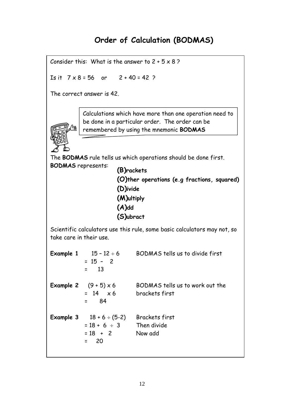# **Order of Calculation (BODMAS)**

Consider this: What is the answer to  $2 + 5 \times 8$ ?

Is it  $7 \times 8 = 56$  or  $2 + 40 = 42$  ?

The correct answer is 42.



Calculations which have more than one operation need to be done in a particular order. The order can be remembered by using the mnemonic **BODMAS**

The **BODMAS** rule tells us which operations should be done first. **BODMAS** represents:

| (B)rackets                                  |  |
|---------------------------------------------|--|
| (O)ther operations (e.g fractions, squared) |  |
| (D)ivide                                    |  |
| (M)ultiply                                  |  |
| $(A)$ dd                                    |  |
| (S)ubract                                   |  |

Scientific calculators use this rule, some basic calculators may not, so take care in their use.

**Example 1**  $15 - 12 \div 6$  BODMAS tells us to divide first  $= 15 - 2$  = 13 **Example 2**  $(9 + 5) \times 6$  BODMAS tells us to work out the  $= 14$   $\times 6$  brackets first  $= 84$ **Example 3**  $18 + 6 \div (5-2)$  Brackets first  $= 18 + 6 \div 3$  Then divide  $= 18 + 2$  Now add = 20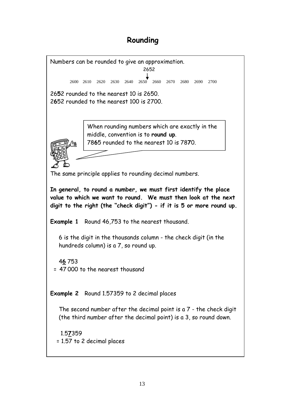# **Rounding**

Numbers can be rounded to give an approximation. 26**5**2 rounded to the nearest 10 is 2650. 2**6**52 rounded to the nearest 100 is 2700. The same principle applies to rounding decimal numbers. **In general, to round a number, we must first identify the place value to which we want to round. We must then look at the next digit to the right (the "check digit") - if it is 5 or more round up. Example 1** Round 46,753 to the nearest thousand. 6 is the digit in the thousands column - the check digit (in the hundreds column) is a 7, so round up. 4**6** 753 = 47 000 to the nearest thousand **Example 2** Round 1.57359 to 2 decimal places The second number after the decimal point is a 7 - the check digit (the third number after the decimal point) is a 3, so round down. 1.5**7**359 = 1.57 to 2 decimal places When rounding numbers which are exactly in the middle, convention is to **round up**. 78**6**5 rounded to the nearest 10 is 78**7**0. 2600 2610 2620 2630 2640 2650 2660 2670 2680 2690 2700 2652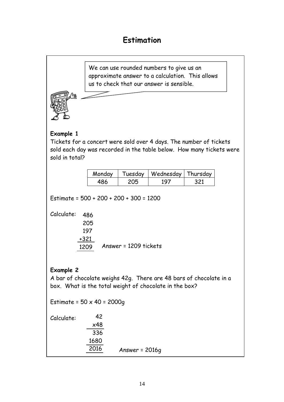# **Estimation**

We can use rounded numbers to give us an approximate answer to a calculation. This allows us to check that our answer is sensible.



### **Example 1**

Tickets for a concert were sold over 4 days. The number of tickets sold each day was recorded in the table below. How many tickets were sold in total?

| Monday | Tuesday | Wednesday   Thursday |  |
|--------|---------|----------------------|--|
|        |         | 1 Q                  |  |

Estimate = 500 + 200 + 200 + 300 = 1200

Calculate: 486

| .      |                       |
|--------|-----------------------|
| 205    |                       |
| 197    |                       |
| $+321$ |                       |
| 1209   | Answer = 1209 tickets |

### **Example 2**

A bar of chocolate weighs 42g. There are 48 bars of chocolate in a box. What is the total weight of chocolate in the box?

Estimate =  $50 \times 40 = 2000q$ Calculate: Answer = 2016g 42 x48 336 1680 2016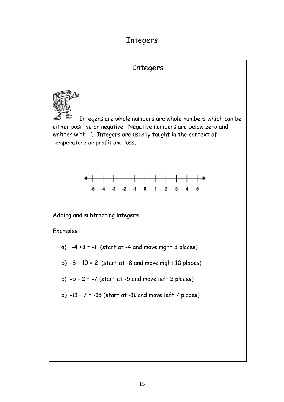# Integers

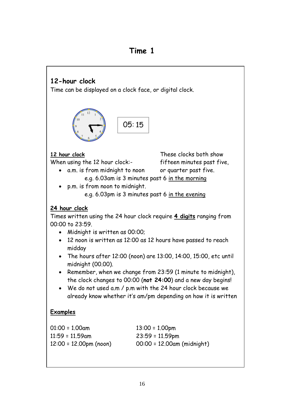### **Time 1**

# **12-hour clock**

Time can be displayed on a clock face, or digital clock.



**12 hour clock**

When using the 12 hour clock:-

These clocks both show fifteen minutes past five,

- a.m. is from midnight to noon or quarter past five.
	- e.g. 6.03am is 3 minutes past 6 in the morning
- p.m. is from noon to midnight. e.g. 6.03pm is 3 minutes past 6 in the evening

### **24 hour clock**

Times written using the 24 hour clock require **4 digits** ranging from 00:00 to 23:59.

- Midnight is written as 00:00;
- 12 noon is written as 12:00 as 12 hours have passed to reach midday
- The hours after 12:00 (noon) are 13:00, 14:00, 15:00, etc until midnight (00.00).
- Remember, when we change from 23:59 (1 minute to midnight), the clock changes to 00:00 (**not 24:00**) and a new day begins!
- We do not used a.m / p.m with the 24 hour clock because we already know whether it's am/pm depending on how it is written

### **Examples**

| 01:00 = 1.00am         | $13:00 = 1.00$ pm          |
|------------------------|----------------------------|
| 11:59 = 11.59am        | $23:59 = 11.59$ pm         |
| 12:00 = 12.00pm (noon) | 00:00 = 12.00am (midnight) |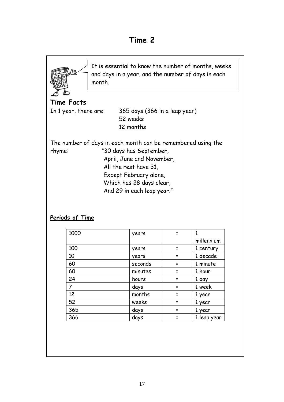

 $52$  weeks  $\vert$  = 1 year 365 | days | = 1 year  $366$   $\qquad$   $\qquad$   $\qquad$   $\qquad$   $\qquad$   $\qquad$   $\qquad$   $\qquad$   $\qquad$   $\qquad$   $\qquad$   $\qquad$   $\qquad$   $\qquad$   $\qquad$   $\qquad$   $\qquad$   $\qquad$   $\qquad$   $\qquad$   $\qquad$   $\qquad$   $\qquad$   $\qquad$   $\qquad$   $\qquad$   $\qquad$   $\qquad$   $\qquad$   $\qquad$   $\qquad$   $\qquad$   $\qquad$   $\qquad$   $\qquad$   $\qquad$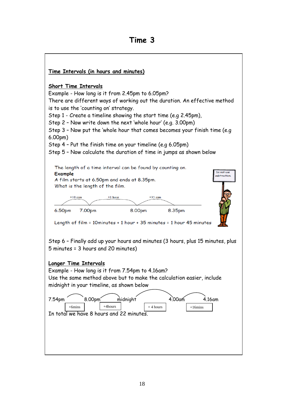# **Time 3**

| <u>Time Intervals (in hours and minutes)</u>                                                                                                                                                                                                                                                                                                                                                                                                                                                                                                                                   |
|--------------------------------------------------------------------------------------------------------------------------------------------------------------------------------------------------------------------------------------------------------------------------------------------------------------------------------------------------------------------------------------------------------------------------------------------------------------------------------------------------------------------------------------------------------------------------------|
| <b>Short Time Intervals</b><br>Example - How long is it from 2.45pm to 6.05pm?<br>There are different ways of working out the duration. An effective method<br>is to use the 'counting on' strategy.<br>Step 1 - Create a timeline showing the start time (e.g 2.45pm),<br>Step 2 - Now write down the next 'whole hour' (e.g. 3.00pm)<br>Step 3 - Now put the 'whole hour that comes becomes your finish time (e.g<br>6.00 <sub>pm</sub><br>Step 4 - Put the finish time on your timeline (e.g 6.05pm)<br>Step 5 - Now calculate the duration of time in jumps as shown below |
| The length of a time interval can be found by counting on.<br>Do not use<br>Example<br>subtraction.<br>A film starts at 6.50pm and ends at 8.35pm.<br>What is the length of the film.<br>$+10$ min<br>$+1$ hour<br>$+35$ min                                                                                                                                                                                                                                                                                                                                                   |
|                                                                                                                                                                                                                                                                                                                                                                                                                                                                                                                                                                                |
| 8.00pm<br>6.50pm<br>7.00pm<br>8.35pm<br>Length of film = 10minutes + 1 hour + 35 minutes = 1 hour 45 minutes<br>Step 6 - Finally add up your hours and minutes (3 hours, plus 15 minutes, plus<br>5 minutes = 3 hours and 20 minutes)                                                                                                                                                                                                                                                                                                                                          |
| <b>Longer Time Intervals</b><br>Example - How long is it from 7.54pm to 4.16am?<br>Use the same method above but to make the calculation easier, include<br>midnight in your timeline, as shown below                                                                                                                                                                                                                                                                                                                                                                          |
| 8.00pm<br>4.00 <sub>am</sub><br>7.54pm<br>midnight<br>4.16am<br>$+4$ hours<br>$+6$ mins<br>$+4$ hours<br>$+16 \text{mins}$<br>In total we have 8 hours and 22 minutes.                                                                                                                                                                                                                                                                                                                                                                                                         |
|                                                                                                                                                                                                                                                                                                                                                                                                                                                                                                                                                                                |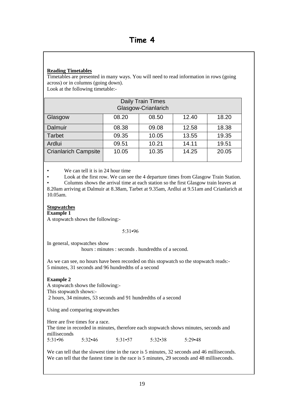#### **Reading Timetables**

Timetables are presented in many ways. You will need to read information in rows (going across) or in columns (going down).

Look at the following timetable:-

| Daily Train Times<br>Glasgow-Crianlarich |       |       |       |       |  |
|------------------------------------------|-------|-------|-------|-------|--|
| Glasgow                                  | 08.20 | 08.50 | 12.40 | 18.20 |  |
| Dalmuir                                  | 08.38 | 09.08 | 12.58 | 18.38 |  |
| <b>Tarbet</b>                            | 09.35 | 10.05 | 13.55 | 19.35 |  |
| Ardlui                                   | 09.51 | 10.21 | 14.11 | 19.51 |  |
| <b>Crianlarich Campsite</b>              | 10.05 | 10.35 | 14.25 | 20.05 |  |

• We can tell it is in 24 hour time

Look at the first row. We can see the 4 departure times from Glasgow Train Station.

• Columns shows the arrival time at each station so the first Glasgow train leaves at 8.20am arriving at Dalmuir at 8.38am, Tarbet at 9.35am, Ardlui at 9.51am and Crianlarich at 10.05am.

#### **Stopwatches**

**Example 1**

A stopwatch shows the following:-

#### 5:31•96

In general, stopwatches show

hours : minutes : seconds . hundredths of a second.

As we can see, no hours have been recorded on this stopwatch so the stopwatch reads:- 5 minutes, 31 seconds and 96 hundredths of a second

#### **Example 2**

A stopwatch shows the following:- This stopwatch shows:- 2 hours, 34 minutes, 53 seconds and 91 hundredths of a second

Using and comparing stopwatches

Here are five times for a race.

The time in recorded in minutes, therefore each stopwatch shows minutes, seconds and milliseconds 5:31•96 5:32•46 5:31•57 5:32•38 5:29•48

We can tell that the slowest time in the race is 5 minutes, 32 seconds and 46 milliseconds. We can tell that the fastest time in the race is 5 minutes, 29 seconds and 48 milliseconds.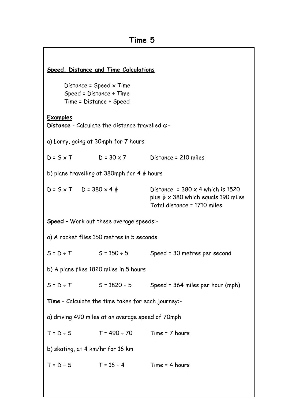| Speed, Distance and Time Calculations                                                          |                                                   |                                                                                                                           |  |  |  |
|------------------------------------------------------------------------------------------------|---------------------------------------------------|---------------------------------------------------------------------------------------------------------------------------|--|--|--|
| Distance = $Speed \times Time$<br>$Speed = Distance \div Time$<br>$Time = Distance \div Speed$ |                                                   |                                                                                                                           |  |  |  |
| <u>Examples</u>                                                                                | Distance - Calculate the distance travelled a:-   |                                                                                                                           |  |  |  |
| a) Lorry, going at 30mph for 7 hours                                                           |                                                   |                                                                                                                           |  |  |  |
|                                                                                                | $D = S \times T$ $D = 30 \times 7$                | Distance = 210 miles                                                                                                      |  |  |  |
| b) plane travelling at 380mph for 4 $\frac{1}{2}$ hours                                        |                                                   |                                                                                                                           |  |  |  |
| $D = S \times T$ $D = 380 \times 4\frac{1}{2}$                                                 |                                                   | Distance = $380 \times 4$ which is 1520<br>plus $\frac{1}{2}$ x 380 which equals 190 miles<br>Total distance = 1710 miles |  |  |  |
| Speed - Work out these average speeds:-                                                        |                                                   |                                                                                                                           |  |  |  |
| a) A rocket flies 150 metres in 5 seconds                                                      |                                                   |                                                                                                                           |  |  |  |
|                                                                                                | $S = D \div T$ $S = 150 \div 5$                   | Speed = 30 metres per second                                                                                              |  |  |  |
| b) A plane flies 1820 miles in 5 hours                                                         |                                                   |                                                                                                                           |  |  |  |
|                                                                                                |                                                   | $S = D \div T$ $S = 1820 \div 5$ Speed = 364 miles per hour (mph)                                                         |  |  |  |
| <b>Time - Calculate the time taken for each journey:-</b>                                      |                                                   |                                                                                                                           |  |  |  |
| a) driving 490 miles at an average speed of 70mph                                              |                                                   |                                                                                                                           |  |  |  |
|                                                                                                | $T = D \div S$ $T = 490 \div 70$ $Time = 7$ hours |                                                                                                                           |  |  |  |
| b) skating, at 4 km/hr for 16 km                                                               |                                                   |                                                                                                                           |  |  |  |
|                                                                                                | $T = D \div S$ $T = 16 \div 4$ Time = 4 hours     |                                                                                                                           |  |  |  |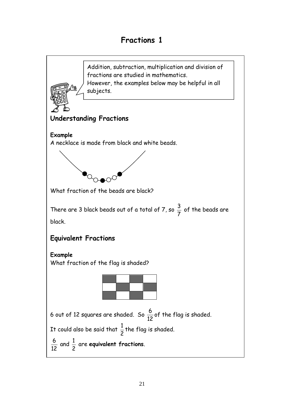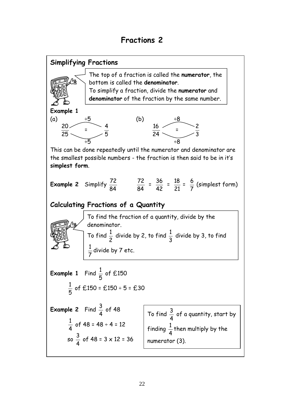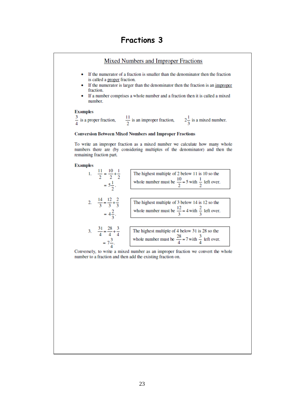#### Mixed Numbers and Improper Fractions

- If the numerator of a fraction is smaller than the denominator then the fraction is called a proper fraction.
- $\bullet$ If the numerator is larger than the denominator then the fraction is an improper fraction.
- If a number comprises a whole number and a fraction then it is called a mixed number.

#### **Examples**

 $\frac{3}{4}$  is a proper fraction,  $\frac{11}{2}$  is an improper fraction,  $2\frac{1}{3}$  is a mixed number.

#### **Conversion Between Mixed Numbers and Improper Fractions**

To write an improper fraction as a mixed number we calculate how many whole numbers there are (by considering multiples of the denominator) and then the remaining fraction part.

#### **Examples**



Conversely, to write a mixed number as an improper fraction we convert the whole number to a fraction and then add the existing fraction on.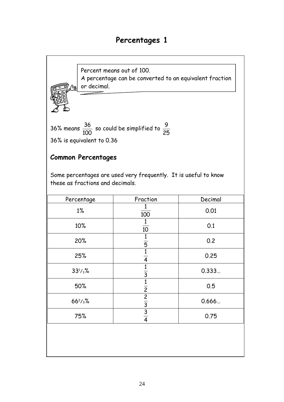# **Percentages 1**



2 1

3 2

4 3

0.5

0.666…

0.75

50%

 $66^2$ / $3\%$ 

75%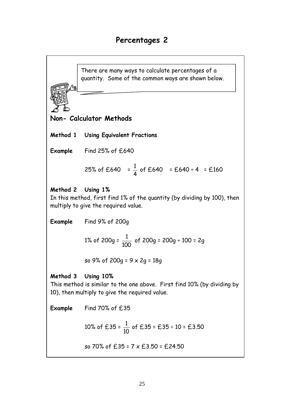There are many ways to calculate percentages of a quantity. Some of the common ways are shown below.

**Non- Calculator Methods**

**Method 1 Using Equivalent Fractions**

**Example** Find 25% of £640

25% of £640 = 
$$
\frac{1}{4}
$$
 of £640 = £640 ÷ 4 = £160

### **Method 2 Using 1%**

In this method, first find 1% of the quantity (by dividing by 100), then multiply to give the required value.

**Example** Find 9% of 200g

1% of 
$$
200g = \frac{1}{100}
$$
 of  $200g = 200g \div 100 = 2g$ 

so 9% of 200g = 9 x 2g = 18g

### **Method 3 Using 10%**

This method is similar to the one above. First find 10% (by dividing by 10), then multiply to give the required value.

**Example** Find 70% of £35

 $\overline{\phantom{0}}$ 

10% of £35 = 
$$
\frac{1}{10}
$$
 of £35 = £35 ÷ 10 = £3.50

so 70% of £35 = 
$$
7 \times £3.50 = £24.50
$$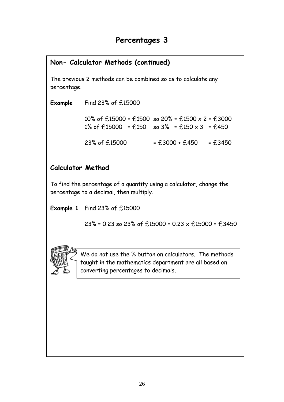### **Non- Calculator Methods (continued)**

The previous 2 methods can be combined so as to calculate any percentage.

**Example** Find 23% of £15000

10% of  $£15000 = £1500$  so  $20% = £1500 \times 2 = £3000$ 1% of  $£15000 = £150$  so 3% = £150 x 3 = £450

 $23\%$  of £15000  $=$  £3000 + £450  $=$  £3450

### **Calculator Method**

To find the percentage of a quantity using a calculator, change the percentage to a decimal, then multiply.

**Example 1** Find 23% of £15000

23% = 0.23 so 23% of £15000 = 0.23  $\times$  £15000 = £3450



We do not use the % button on calculators. The methods taught in the mathematics department are all based on converting percentages to decimals.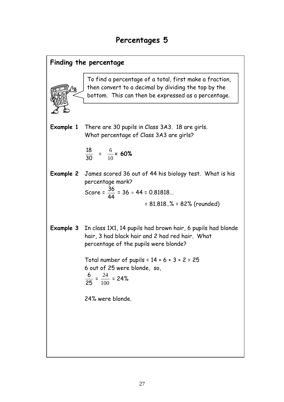### **Finding the percentage**

To find a percentage of a total, first make a fraction, then convert to a decimal by dividing the top by the bottom. This can then be expressed as a percentage.

**Example 1** There are 30 pupils in Class 3A3. 18 are girls. What percentage of Class 3A3 are girls?

$$
\frac{18}{30} = \frac{6}{10} = 60\%
$$

**Example 2** James scored 36 out of 44 his biology test. What is his percentage mark? Score =  $\overline{a}$ 36 44  $= 36 \div 44 = 0.81818...$ 

= 81.818..% = 82% (rounded)

**Example 3** In class 1X1, 14 pupils had brown hair, 6 pupils had blonde hair, 3 had black hair and 2 had red hair. What percentage of the pupils were blonde?

> Total number of pupils =  $14 + 6 + 3 + 2 = 25$ 6 out of 25 were blonde, so, 6 24 24%

$$
\frac{6}{25} = \frac{21}{100} = 2
$$

24% were blonde.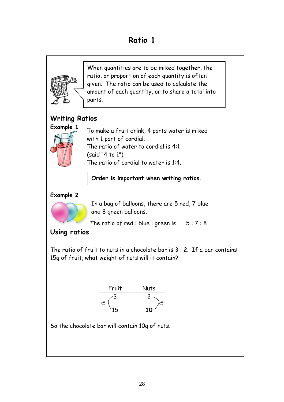# **Ratio 1**



So the chocolate bar will contain 10g of nuts.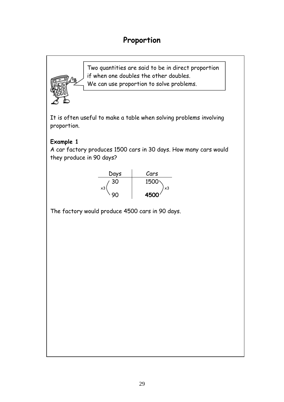# **Proportion**

Two quantities are said to be in direct proportion if when one doubles the other doubles. We can use proportion to solve problems.

It is often useful to make a table when solving problems involving proportion.

### **Example 1**

A car factory produces 1500 cars in 30 days. How many cars would they produce in 90 days?



The factory would produce 4500 cars in 90 days.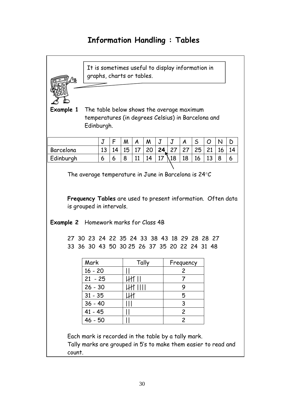# **Information Handling : Tables**

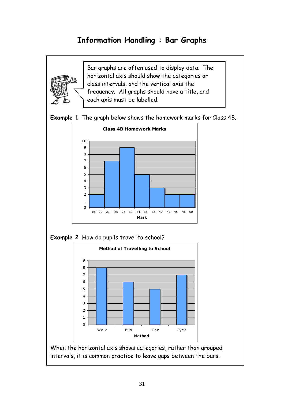# **Information Handling : Bar Graphs**



Bar graphs are often used to display data. The horizontal axis should show the categories or class intervals, and the vertical axis the frequency. All graphs should have a title, and each axis must be labelled.





**Example 2** How do pupils travel to school?



When the horizontal axis shows categories, rather than grouped intervals, it is common practice to leave gaps between the bars.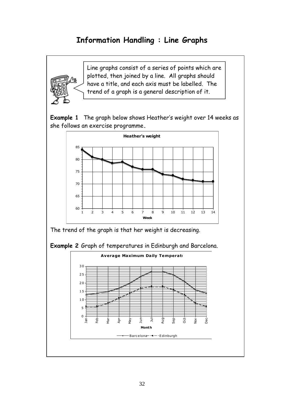# **Information Handling : Line Graphs**



Line graphs consist of a series of points which are plotted, then joined by a line. All graphs should have a title, and each axis must be labelled. The trend of a graph is a general description of it.





The trend of the graph is that her weight is decreasing.

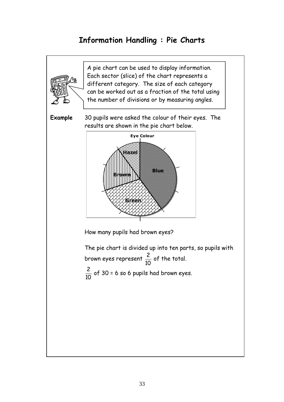# **Information Handling : Pie Charts**

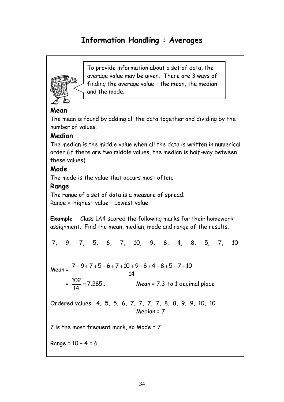# **Information Handling : Averages**



To provide information about a set of data, the average value may be given. There are 3 ways of finding the average value – the mean, the median and the mode.

### **Mean**

The mean is found by adding all the data together and dividing by the number of values.

### **Median**

The median is the middle value when all the data is written in numerical order (if there are two middle values, the median is half-way between these values).

### **Mode**

The mode is the value that occurs most often.

### **Range**

The range of a set of data is a measure of spread. Range = Highest value – Lowest value

**Example** Class 1A4 scored the following marks for their homework assignment. Find the mean, median, mode and range of the results.

$$
7, \quad 9, \quad 7, \quad 5, \quad 6, \quad 7, \quad 10, \quad 9, \quad 8, \quad 4, \quad 8, \quad 5, \quad 7, \quad 10
$$

Mean =  $7 + 9 + 7 + 5 + 6 + 7 + 10 + 9 + 8 + 4 + 8 + 5 + 7 + 10$ 14

$$
= \frac{102}{14} = 7.285...
$$
 Mean = 7.3 to 1 decimal place

Ordered values: 4, 5, 5, 6, 7, 7, 7, 7, 8, 8, 9, 9, 10, 10 Median = 7

7 is the most frequent mark, so Mode = 7

Range = 10 – 4 = 6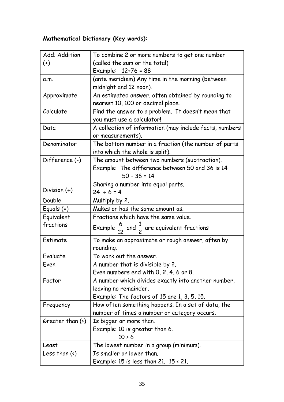# **Mathematical Dictionary (Key words):**

| Add; Addition          | To combine 2 or more numbers to get one number                    |  |
|------------------------|-------------------------------------------------------------------|--|
| $^{(+)}$               | (called the sum or the total)                                     |  |
|                        | Example: $12+76 = 88$                                             |  |
| a.m.                   | (ante meridiem) Any time in the morning (between                  |  |
|                        | midnight and 12 noon).                                            |  |
| Approximate            | An estimated answer, often obtained by rounding to                |  |
|                        | nearest 10, 100 or decimal place.                                 |  |
| Calculate              | Find the answer to a problem. It doesn't mean that                |  |
|                        | you must use a calculator!                                        |  |
| Data                   | A collection of information (may include facts, numbers           |  |
|                        | or measurements).                                                 |  |
| Denominator            | The bottom number in a fraction (the number of parts              |  |
|                        | into which the whole is split).                                   |  |
| Difference (-)         | The amount between two numbers (subtraction).                     |  |
|                        | Example: The difference between 50 and 36 is 14                   |  |
|                        | $50 - 36 = 14$                                                    |  |
|                        | Sharing a number into equal parts.                                |  |
| Division $(\div)$      | $24 \div 6 = 4$                                                   |  |
| Double                 | Multiply by 2.                                                    |  |
| Equals $(=)$           | Makes or has the same amount as.                                  |  |
| Equivalent             | Fractions which have the same value.                              |  |
| fractions              | Example $\frac{6}{12}$ and $\frac{1}{2}$ are equivalent fractions |  |
| Estimate               | To make an approximate or rough answer, often by                  |  |
|                        | rounding.                                                         |  |
| Evaluate               | To work out the answer.                                           |  |
| Even                   | A number that is divisible by 2.                                  |  |
|                        | Even numbers end with $0, 2, 4, 6$ or $8.$                        |  |
| Factor                 | A number which divides exactly into another number,               |  |
|                        | leaving no remainder.                                             |  |
|                        | Example: The factors of 15 are 1, 3, 5, 15.                       |  |
| Frequency              | How often something happens. In a set of data, the                |  |
|                        | number of times a number or category occurs.                      |  |
| Greater than $(\cdot)$ | Is bigger or more than.                                           |  |
|                        | Example: 10 is greater than 6.                                    |  |
|                        | $10 \times 6$                                                     |  |
| Least                  | The lowest number in a group (minimum).                           |  |
| Less than $(\cdot)$    | Is smaller or lower than.                                         |  |
|                        | Example: 15 is less than 21. $15 \times 21$ .                     |  |